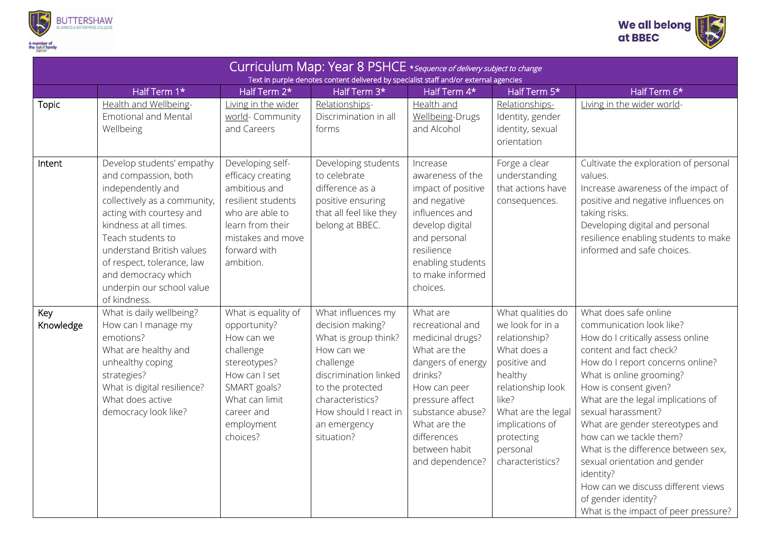



| Curriculum Map: Year 8 PSHCE * sequence of delivery subject to change<br>Text in purple denotes content delivered by specialist staff and/or external agencies |                                                                                                                                                                                                                                                                                                                  |                                                                                                                                                                           |                                                                                                                                                                                                                   |                                                                                                                                                                                                                            |                                                                                                                                                                                                                       |                                                                                                                                                                                                                                                                                                                                                                                                                                                                                                                                |  |  |  |  |
|----------------------------------------------------------------------------------------------------------------------------------------------------------------|------------------------------------------------------------------------------------------------------------------------------------------------------------------------------------------------------------------------------------------------------------------------------------------------------------------|---------------------------------------------------------------------------------------------------------------------------------------------------------------------------|-------------------------------------------------------------------------------------------------------------------------------------------------------------------------------------------------------------------|----------------------------------------------------------------------------------------------------------------------------------------------------------------------------------------------------------------------------|-----------------------------------------------------------------------------------------------------------------------------------------------------------------------------------------------------------------------|--------------------------------------------------------------------------------------------------------------------------------------------------------------------------------------------------------------------------------------------------------------------------------------------------------------------------------------------------------------------------------------------------------------------------------------------------------------------------------------------------------------------------------|--|--|--|--|
|                                                                                                                                                                | Half Term 1*                                                                                                                                                                                                                                                                                                     | Half Term 2*                                                                                                                                                              | Half Term 3*                                                                                                                                                                                                      | Half Term 4*                                                                                                                                                                                                               | Half Term 5*                                                                                                                                                                                                          | Half Term 6*                                                                                                                                                                                                                                                                                                                                                                                                                                                                                                                   |  |  |  |  |
| Topic                                                                                                                                                          | Health and Wellbeing-<br><b>Emotional and Mental</b><br>Wellbeing                                                                                                                                                                                                                                                | Living in the wider<br>world- Community<br>and Careers                                                                                                                    | Relationships-<br>Discrimination in all<br>forms                                                                                                                                                                  | Health and<br>Wellbeing-Drugs<br>and Alcohol                                                                                                                                                                               | Relationships-<br>Identity, gender<br>identity, sexual<br>orientation                                                                                                                                                 | Living in the wider world-                                                                                                                                                                                                                                                                                                                                                                                                                                                                                                     |  |  |  |  |
| Intent                                                                                                                                                         | Develop students' empathy<br>and compassion, both<br>independently and<br>collectively as a community,<br>acting with courtesy and<br>kindness at all times.<br>Teach students to<br>understand British values<br>of respect, tolerance, law<br>and democracy which<br>underpin our school value<br>of kindness. | Developing self-<br>efficacy creating<br>ambitious and<br>resilient students<br>who are able to<br>learn from their<br>mistakes and move<br>forward with<br>ambition.     | Developing students<br>to celebrate<br>difference as a<br>positive ensuring<br>that all feel like they<br>belong at BBEC.                                                                                         | Increase<br>awareness of the<br>impact of positive<br>and negative<br>influences and<br>develop digital<br>and personal<br>resilience<br>enabling students<br>to make informed<br>choices.                                 | Forge a clear<br>understanding<br>that actions have<br>consequences.                                                                                                                                                  | Cultivate the exploration of personal<br>values.<br>Increase awareness of the impact of<br>positive and negative influences on<br>taking risks.<br>Developing digital and personal<br>resilience enabling students to make<br>informed and safe choices.                                                                                                                                                                                                                                                                       |  |  |  |  |
| Key<br>Knowledge                                                                                                                                               | What is daily wellbeing?<br>How can I manage my<br>emotions?<br>What are healthy and<br>unhealthy coping<br>strategies?<br>What is digital resilience?<br>What does active<br>democracy look like?                                                                                                               | What is equality of<br>opportunity?<br>How can we<br>challenge<br>stereotypes?<br>How can I set<br>SMART goals?<br>What can limit<br>career and<br>employment<br>choices? | What influences my<br>decision making?<br>What is group think?<br>How can we<br>challenge<br>discrimination linked<br>to the protected<br>characteristics?<br>How should I react in<br>an emergency<br>situation? | What are<br>recreational and<br>medicinal drugs?<br>What are the<br>dangers of energy<br>drinks?<br>How can peer<br>pressure affect<br>substance abuse?<br>What are the<br>differences<br>between habit<br>and dependence? | What qualities do<br>we look for in a<br>relationship?<br>What does a<br>positive and<br>healthy<br>relationship look<br>like?<br>What are the legal<br>implications of<br>protecting<br>personal<br>characteristics? | What does safe online<br>communication look like?<br>How do I critically assess online<br>content and fact check?<br>How do I report concerns online?<br>What is online grooming?<br>How is consent given?<br>What are the legal implications of<br>sexual harassment?<br>What are gender stereotypes and<br>how can we tackle them?<br>What is the difference between sex,<br>sexual orientation and gender<br>identity?<br>How can we discuss different views<br>of gender identity?<br>What is the impact of peer pressure? |  |  |  |  |